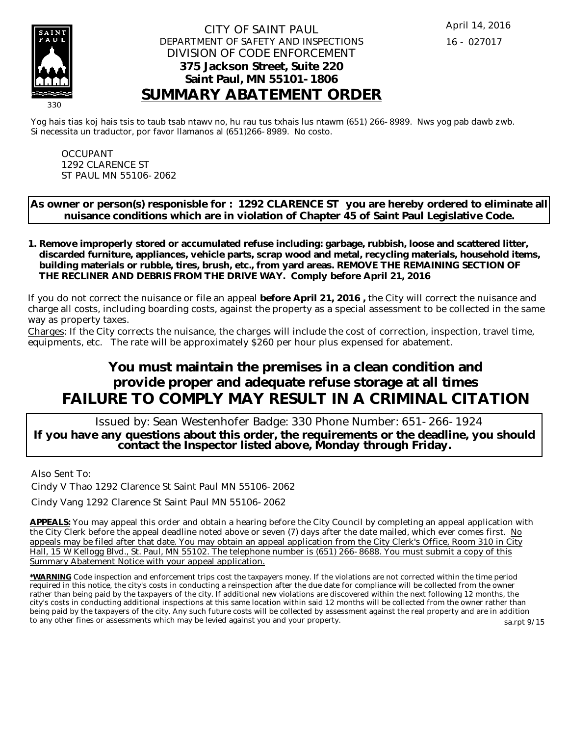

### CITY OF SAINT PAUL DEPARTMENT OF SAFETY AND INSPECTIONS DIVISION OF CODE ENFORCEMENT **375 Jackson Street, Suite 220 Saint Paul, MN 55101-1806 SUMMARY ABATEMENT ORDER**

Yog hais tias koj hais tsis to taub tsab ntawv no, hu rau tus txhais lus ntawm (651) 266-8989. Nws yog pab dawb zwb. Si necessita un traductor, por favor llamanos al (651)266-8989. No costo.

OCCUPANT 1292 CLARENCE ST ST PAUL MN 55106-2062

**As owner or person(s) responisble for : 1292 CLARENCE ST you are hereby ordered to eliminate all nuisance conditions which are in violation of Chapter 45 of Saint Paul Legislative Code.**

**Remove improperly stored or accumulated refuse including: garbage, rubbish, loose and scattered litter, 1. discarded furniture, appliances, vehicle parts, scrap wood and metal, recycling materials, household items, building materials or rubble, tires, brush, etc., from yard areas. REMOVE THE REMAINING SECTION OF THE RECLINER AND DEBRIS FROM THE DRIVE WAY. Comply before April 21, 2016**

If you do not correct the nuisance or file an appeal **before April 21, 2016 ,** the City will correct the nuisance and charge all costs, including boarding costs, against the property as a special assessment to be collected in the same way as property taxes.

Charges: If the City corrects the nuisance, the charges will include the cost of correction, inspection, travel time, equipments, etc. The rate will be approximately \$260 per hour plus expensed for abatement.

# **You must maintain the premises in a clean condition and provide proper and adequate refuse storage at all times FAILURE TO COMPLY MAY RESULT IN A CRIMINAL CITATION**

 Issued by: Sean Westenhofer Badge: 330 Phone Number: 651-266-1924 **If you have any questions about this order, the requirements or the deadline, you should contact the Inspector listed above, Monday through Friday.**

Also Sent To:

Cindy V Thao 1292 Clarence St Saint Paul MN 55106-2062

Cindy Vang 1292 Clarence St Saint Paul MN 55106-2062

**APPEALS:** You may appeal this order and obtain a hearing before the City Council by completing an appeal application with the City Clerk before the appeal deadline noted above or seven (7) days after the date mailed, which ever comes first. No appeals may be filed after that date. You may obtain an appeal application from the City Clerk's Office, Room 310 in City Hall, 15 W Kellogg Blvd., St. Paul, MN 55102. The telephone number is (651) 266-8688. You must submit a copy of this Summary Abatement Notice with your appeal application.

**\*WARNING** Code inspection and enforcement trips cost the taxpayers money. If the violations are not corrected within the time period required in this notice, the city's costs in conducting a reinspection after the due date for compliance will be collected from the owner rather than being paid by the taxpayers of the city. If additional new violations are discovered within the next following 12 months, the city's costs in conducting additional inspections at this same location within said 12 months will be collected from the owner rather than being paid by the taxpayers of the city. Any such future costs will be collected by assessment against the real property and are in addition to any other fines or assessments which may be levied against you and your property. sa.rpt 9/15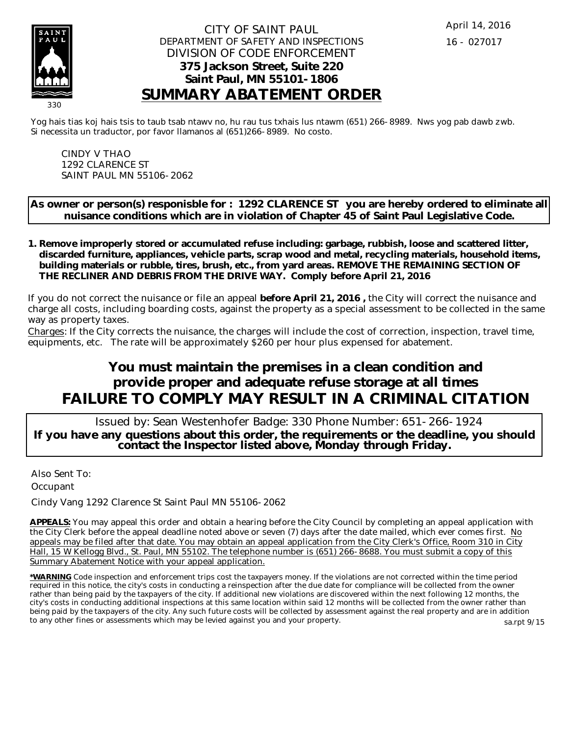

### CITY OF SAINT PAUL DEPARTMENT OF SAFETY AND INSPECTIONS DIVISION OF CODE ENFORCEMENT **375 Jackson Street, Suite 220 Saint Paul, MN 55101-1806 SUMMARY ABATEMENT ORDER**

Yog hais tias koj hais tsis to taub tsab ntawv no, hu rau tus txhais lus ntawm (651) 266-8989. Nws yog pab dawb zwb. Si necessita un traductor, por favor llamanos al (651)266-8989. No costo.

CINDY V THAO 1292 CLARENCE ST SAINT PAUL MN 55106-2062

**As owner or person(s) responisble for : 1292 CLARENCE ST you are hereby ordered to eliminate all nuisance conditions which are in violation of Chapter 45 of Saint Paul Legislative Code.**

**Remove improperly stored or accumulated refuse including: garbage, rubbish, loose and scattered litter, 1. discarded furniture, appliances, vehicle parts, scrap wood and metal, recycling materials, household items, building materials or rubble, tires, brush, etc., from yard areas. REMOVE THE REMAINING SECTION OF THE RECLINER AND DEBRIS FROM THE DRIVE WAY. Comply before April 21, 2016**

If you do not correct the nuisance or file an appeal **before April 21, 2016 ,** the City will correct the nuisance and charge all costs, including boarding costs, against the property as a special assessment to be collected in the same way as property taxes.

Charges: If the City corrects the nuisance, the charges will include the cost of correction, inspection, travel time, equipments, etc. The rate will be approximately \$260 per hour plus expensed for abatement.

# **You must maintain the premises in a clean condition and provide proper and adequate refuse storage at all times FAILURE TO COMPLY MAY RESULT IN A CRIMINAL CITATION**

 Issued by: Sean Westenhofer Badge: 330 Phone Number: 651-266-1924 **If you have any questions about this order, the requirements or the deadline, you should contact the Inspector listed above, Monday through Friday.**

Also Sent To: **Occupant** 

Cindy Vang 1292 Clarence St Saint Paul MN 55106-2062

**APPEALS:** You may appeal this order and obtain a hearing before the City Council by completing an appeal application with the City Clerk before the appeal deadline noted above or seven (7) days after the date mailed, which ever comes first. No appeals may be filed after that date. You may obtain an appeal application from the City Clerk's Office, Room 310 in City Hall, 15 W Kellogg Blvd., St. Paul, MN 55102. The telephone number is (651) 266-8688. You must submit a copy of this Summary Abatement Notice with your appeal application.

**\*WARNING** Code inspection and enforcement trips cost the taxpayers money. If the violations are not corrected within the time period required in this notice, the city's costs in conducting a reinspection after the due date for compliance will be collected from the owner rather than being paid by the taxpayers of the city. If additional new violations are discovered within the next following 12 months, the city's costs in conducting additional inspections at this same location within said 12 months will be collected from the owner rather than being paid by the taxpayers of the city. Any such future costs will be collected by assessment against the real property and are in addition to any other fines or assessments which may be levied against you and your property. sa.rpt 9/15